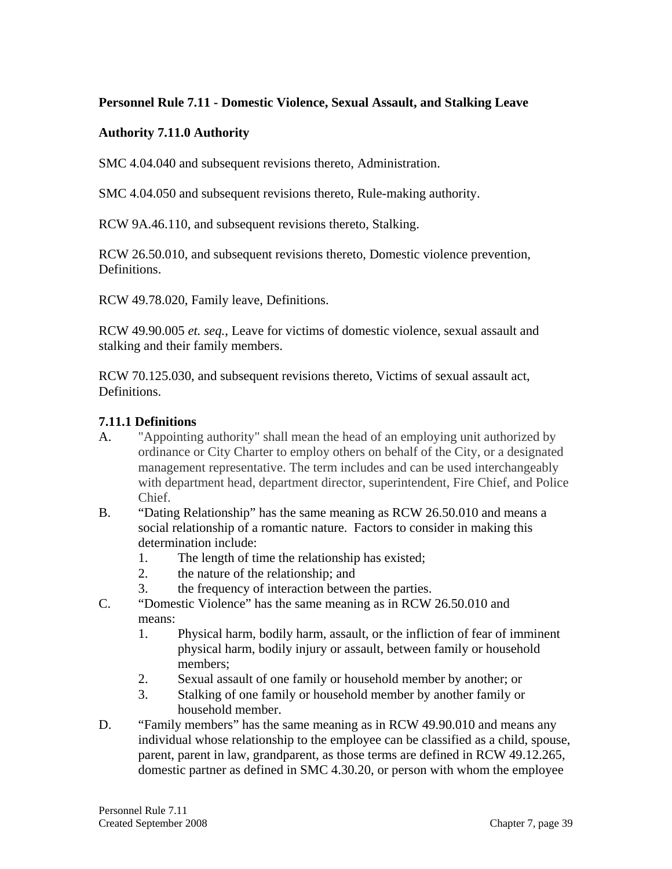### **Personnel Rule 7.11 - Domestic Violence, Sexual Assault, and Stalking Leave**

#### **Authority 7.11.0 Authority**

SMC 4.04.040 and subsequent revisions thereto, Administration.

SMC 4.04.050 and subsequent revisions thereto, Rule-making authority.

RCW 9A.46.110, and subsequent revisions thereto, Stalking.

RCW 26.50.010, and subsequent revisions thereto, Domestic violence prevention, Definitions.

RCW 49.78.020, Family leave, Definitions.

RCW 49.90.005 *et. seq.*, Leave for victims of domestic violence, sexual assault and stalking and their family members.

RCW 70.125.030, and subsequent revisions thereto, Victims of sexual assault act, Definitions.

### **7.11.1 Definitions**

- A. "Appointing authority" shall mean the head of an employing unit authorized by ordinance or City Charter to employ others on behalf of the City, or a designated management representative. The term includes and can be used interchangeably with department head, department director, superintendent, Fire Chief, and Police Chief.
- B. "Dating Relationship" has the same meaning as RCW 26.50.010 and means a social relationship of a romantic nature. Factors to consider in making this determination include:
	- 1. The length of time the relationship has existed;
	- 2. the nature of the relationship; and
	- 3. the frequency of interaction between the parties.
- C. "Domestic Violence" has the same meaning as in RCW 26.50.010 and means:
	- 1. Physical harm, bodily harm, assault, or the infliction of fear of imminent physical harm, bodily injury or assault, between family or household members;
	- 2. Sexual assault of one family or household member by another; or
	- 3. Stalking of one family or household member by another family or household member.
- D. "Family members" has the same meaning as in RCW 49.90.010 and means any individual whose relationship to the employee can be classified as a child, spouse, parent, parent in law, grandparent, as those terms are defined in RCW 49.12.265, domestic partner as defined in SMC 4.30.20, or person with whom the employee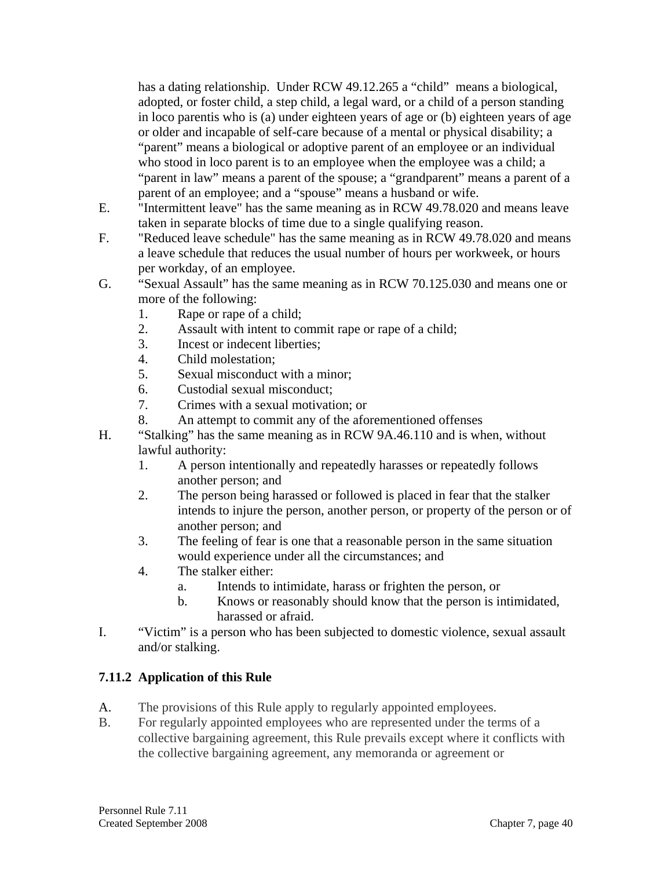has a dating relationship. Under RCW 49.12.265 a "child" means a biological, adopted, or foster child, a step child, a legal ward, or a child of a person standing in loco parentis who is (a) under eighteen years of age or (b) eighteen years of age or older and incapable of self-care because of a mental or physical disability; a "parent" means a biological or adoptive parent of an employee or an individual who stood in loco parent is to an employee when the employee was a child; a "parent in law" means a parent of the spouse; a "grandparent" means a parent of a parent of an employee; and a "spouse" means a husband or wife.

- E. "Intermittent leave" has the same meaning as in RCW 49.78.020 and means leave taken in separate blocks of time due to a single qualifying reason.
- F. "Reduced leave schedule" has the same meaning as in RCW 49.78.020 and means a leave schedule that reduces the usual number of hours per workweek, or hours per workday, of an employee.
- G. "Sexual Assault" has the same meaning as in RCW 70.125.030 and means one or more of the following:
	- 1. Rape or rape of a child;
	- 2. Assault with intent to commit rape or rape of a child;
	- 3. Incest or indecent liberties;
	- 4. Child molestation;
	- 5. Sexual misconduct with a minor;
	- 6. Custodial sexual misconduct;
	- 7. Crimes with a sexual motivation; or
	- 8. An attempt to commit any of the aforementioned offenses
- H. "Stalking" has the same meaning as in RCW 9A.46.110 and is when, without lawful authority:
	- 1. A person intentionally and repeatedly harasses or repeatedly follows another person; and
	- 2. The person being harassed or followed is placed in fear that the stalker intends to injure the person, another person, or property of the person or of another person; and
	- 3. The feeling of fear is one that a reasonable person in the same situation would experience under all the circumstances; and
	- 4. The stalker either:
		- a. Intends to intimidate, harass or frighten the person, or
		- b. Knows or reasonably should know that the person is intimidated, harassed or afraid.
- I. "Victim" is a person who has been subjected to domestic violence, sexual assault and/or stalking.

# **7.11.2 Application of this Rule**

- A. The provisions of this Rule apply to regularly appointed employees.
- B. For regularly appointed employees who are represented under the terms of a collective bargaining agreement, this Rule prevails except where it conflicts with the collective bargaining agreement, any memoranda or agreement or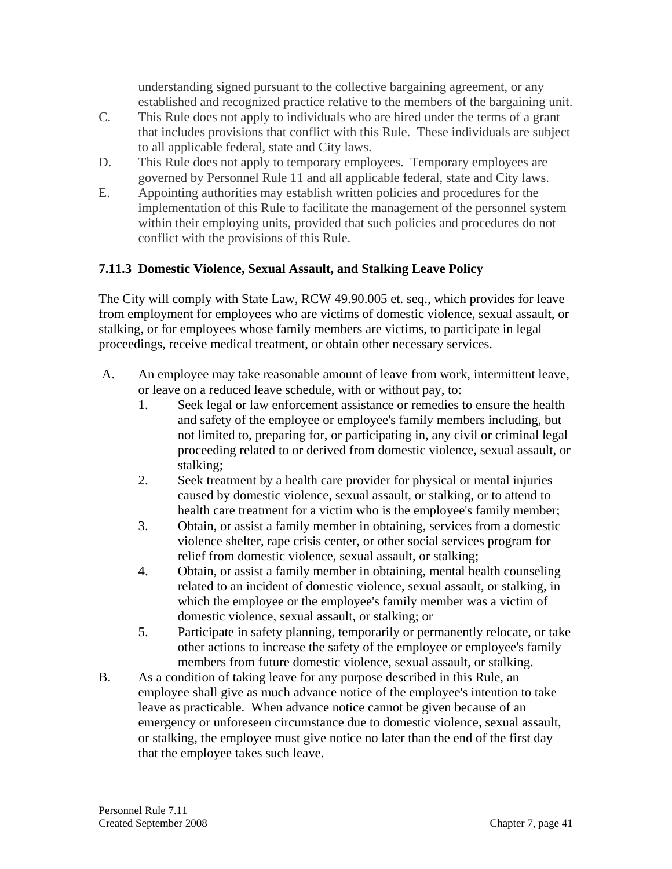understanding signed pursuant to the collective bargaining agreement, or any established and recognized practice relative to the members of the bargaining unit.

- C. This Rule does not apply to individuals who are hired under the terms of a grant that includes provisions that conflict with this Rule. These individuals are subject to all applicable federal, state and City laws.
- D. This Rule does not apply to temporary employees. Temporary employees are governed by Personnel Rule 11 and all applicable federal, state and City laws.
- E. Appointing authorities may establish written policies and procedures for the implementation of this Rule to facilitate the management of the personnel system within their employing units, provided that such policies and procedures do not conflict with the provisions of this Rule.

# **7.11.3 Domestic Violence, Sexual Assault, and Stalking Leave Policy**

The City will comply with State Law, RCW 49.90.005 et. seq., which provides for leave from employment for employees who are victims of domestic violence, sexual assault, or stalking, or for employees whose family members are victims, to participate in legal proceedings, receive medical treatment, or obtain other necessary services.

- A. An employee may take reasonable amount of leave from work, intermittent leave, or leave on a reduced leave schedule, with or without pay, to:
	- 1. Seek legal or law enforcement assistance or remedies to ensure the health and safety of the employee or employee's family members including, but not limited to, preparing for, or participating in, any civil or criminal legal proceeding related to or derived from domestic violence, sexual assault, or stalking;
	- 2. Seek treatment by a health care provider for physical or mental injuries caused by domestic violence, sexual assault, or stalking, or to attend to health care treatment for a victim who is the employee's family member;
	- 3. Obtain, or assist a family member in obtaining, services from a domestic violence shelter, rape crisis center, or other social services program for relief from domestic violence, sexual assault, or stalking;
	- 4. Obtain, or assist a family member in obtaining, mental health counseling related to an incident of domestic violence, sexual assault, or stalking, in which the employee or the employee's family member was a victim of domestic violence, sexual assault, or stalking; or
	- 5. Participate in safety planning, temporarily or permanently relocate, or take other actions to increase the safety of the employee or employee's family members from future domestic violence, sexual assault, or stalking.
- B. As a condition of taking leave for any purpose described in this Rule, an employee shall give as much advance notice of the employee's intention to take leave as practicable. When advance notice cannot be given because of an emergency or unforeseen circumstance due to domestic violence, sexual assault, or stalking, the employee must give notice no later than the end of the first day that the employee takes such leave.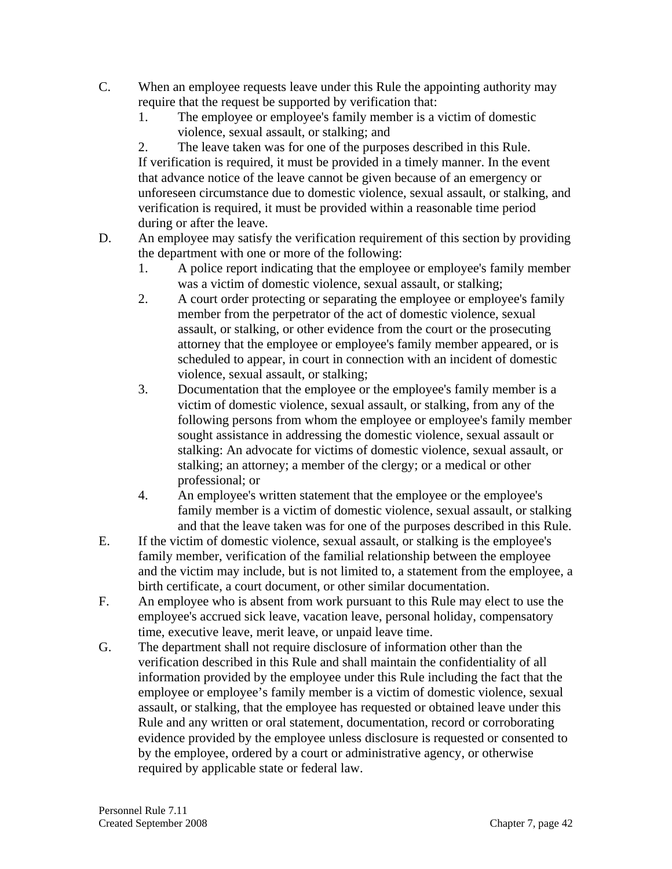- C. When an employee requests leave under this Rule the appointing authority may require that the request be supported by verification that:
	- 1. The employee or employee's family member is a victim of domestic violence, sexual assault, or stalking; and

2. The leave taken was for one of the purposes described in this Rule. If verification is required, it must be provided in a timely manner. In the event that advance notice of the leave cannot be given because of an emergency or unforeseen circumstance due to domestic violence, sexual assault, or stalking, and verification is required, it must be provided within a reasonable time period during or after the leave.

- D. An employee may satisfy the verification requirement of this section by providing the department with one or more of the following:
	- 1. A police report indicating that the employee or employee's family member was a victim of domestic violence, sexual assault, or stalking;
	- 2. A court order protecting or separating the employee or employee's family member from the perpetrator of the act of domestic violence, sexual assault, or stalking, or other evidence from the court or the prosecuting attorney that the employee or employee's family member appeared, or is scheduled to appear, in court in connection with an incident of domestic violence, sexual assault, or stalking;
	- 3. Documentation that the employee or the employee's family member is a victim of domestic violence, sexual assault, or stalking, from any of the following persons from whom the employee or employee's family member sought assistance in addressing the domestic violence, sexual assault or stalking: An advocate for victims of domestic violence, sexual assault, or stalking; an attorney; a member of the clergy; or a medical or other professional; or
	- 4. An employee's written statement that the employee or the employee's family member is a victim of domestic violence, sexual assault, or stalking and that the leave taken was for one of the purposes described in this Rule.
- E. If the victim of domestic violence, sexual assault, or stalking is the employee's family member, verification of the familial relationship between the employee and the victim may include, but is not limited to, a statement from the employee, a birth certificate, a court document, or other similar documentation.
- F. An employee who is absent from work pursuant to this Rule may elect to use the employee's accrued sick leave, vacation leave, personal holiday, compensatory time, executive leave, merit leave, or unpaid leave time.
- G. The department shall not require disclosure of information other than the verification described in this Rule and shall maintain the confidentiality of all information provided by the employee under this Rule including the fact that the employee or employee's family member is a victim of domestic violence, sexual assault, or stalking, that the employee has requested or obtained leave under this Rule and any written or oral statement, documentation, record or corroborating evidence provided by the employee unless disclosure is requested or consented to by the employee, ordered by a court or administrative agency, or otherwise required by applicable state or federal law.